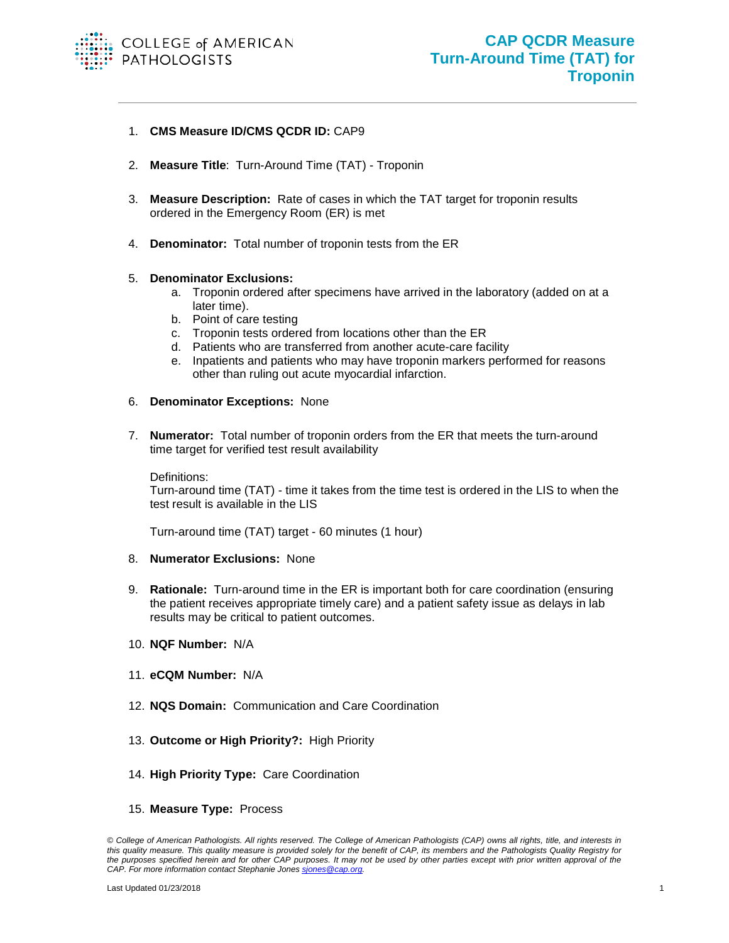

## 1. **CMS Measure ID/CMS QCDR ID:** CAP9

- 2. **Measure Title**: Turn-Around Time (TAT) Troponin
- 3. **Measure Description:** Rate of cases in which the TAT target for troponin results ordered in the Emergency Room (ER) is met
- 4. **Denominator:** Total number of troponin tests from the ER

## 5. **Denominator Exclusions:**

- a. Troponin ordered after specimens have arrived in the laboratory (added on at a later time).
- b. Point of care testing
- c. Troponin tests ordered from locations other than the ER
- d. Patients who are transferred from another acute-care facility
- e. Inpatients and patients who may have troponin markers performed for reasons other than ruling out acute myocardial infarction.
- 6. **Denominator Exceptions:** None
- 7. **Numerator:** Total number of troponin orders from the ER that meets the turn-around time target for verified test result availability

Definitions:

Turn-around time (TAT) - time it takes from the time test is ordered in the LIS to when the test result is available in the LIS

Turn-around time (TAT) target - 60 minutes (1 hour)

## 8. **Numerator Exclusions:** None

- 9. **Rationale:** Turn-around time in the ER is important both for care coordination (ensuring the patient receives appropriate timely care) and a patient safety issue as delays in lab results may be critical to patient outcomes.
- 10. **NQF Number:** N/A
- 11. **eCQM Number:** N/A
- 12. **NQS Domain:** Communication and Care Coordination
- 13. **Outcome or High Priority?:** High Priority
- 14. **High Priority Type:** Care Coordination
- 15. **Measure Type:** Process

*<sup>©</sup> College of American Pathologists. All rights reserved. The College of American Pathologists (CAP) owns all rights, title, and interests in this quality measure. This quality measure is provided solely for the benefit of CAP, its members and the Pathologists Quality Registry for the purposes specified herein and for other CAP purposes. It may not be used by other parties except with prior written approval of the CAP. For more information contact Stephanie Jones [sjones@cap.org.](mailto:sjones@cap.org)*